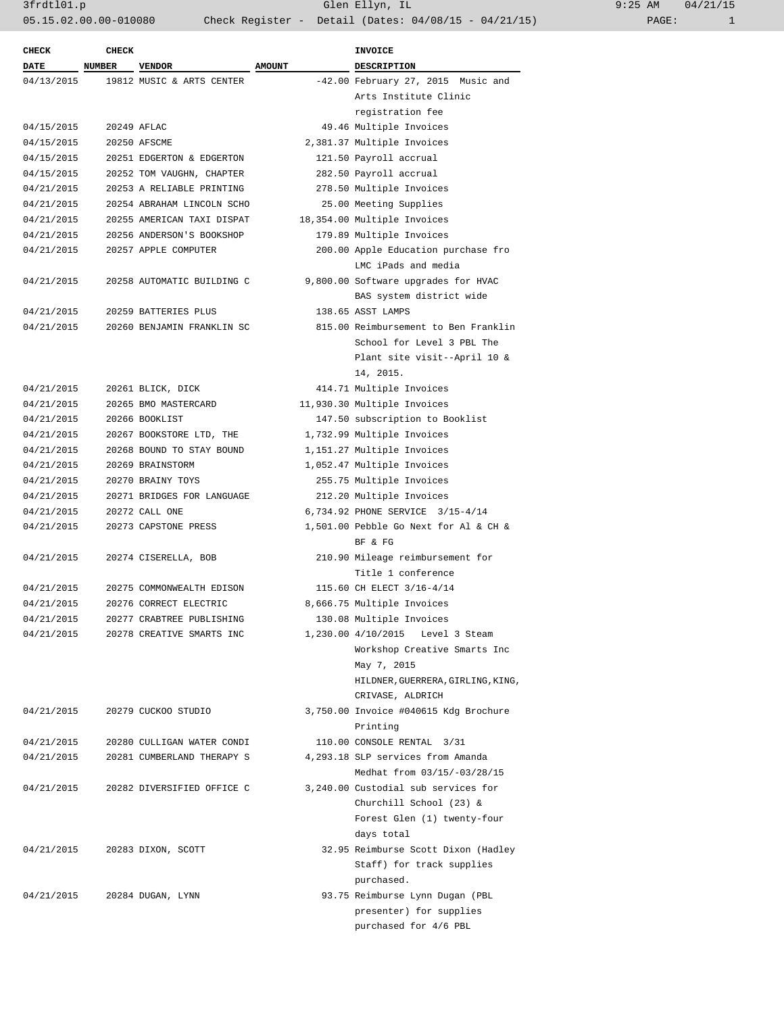| <b>CHECK</b> | <b>CHECK</b>  |                            |               | <b>INVOICE</b>                        |
|--------------|---------------|----------------------------|---------------|---------------------------------------|
| <b>DATE</b>  | <b>NUMBER</b> | <b>VENDOR</b>              | <b>AMOUNT</b> | <b>DESCRIPTION</b>                    |
| 04/13/2015   |               | 19812 MUSIC & ARTS CENTER  |               | -42.00 February 27, 2015 Music and    |
|              |               |                            |               | Arts Institute Clinic                 |
|              |               |                            |               | registration fee                      |
| 04/15/2015   |               | 20249 AFLAC                |               | 49.46 Multiple Invoices               |
| 04/15/2015   |               | 20250 AFSCME               |               | 2,381.37 Multiple Invoices            |
| 04/15/2015   |               | 20251 EDGERTON & EDGERTON  |               | 121.50 Payroll accrual                |
| 04/15/2015   |               | 20252 TOM VAUGHN, CHAPTER  |               | 282.50 Payroll accrual                |
| 04/21/2015   |               | 20253 A RELIABLE PRINTING  |               | 278.50 Multiple Invoices              |
| 04/21/2015   |               | 20254 ABRAHAM LINCOLN SCHO |               | 25.00 Meeting Supplies                |
| 04/21/2015   |               | 20255 AMERICAN TAXI DISPAT |               | 18,354.00 Multiple Invoices           |
| 04/21/2015   |               | 20256 ANDERSON'S BOOKSHOP  |               | 179.89 Multiple Invoices              |
| 04/21/2015   |               | 20257 APPLE COMPUTER       |               | 200.00 Apple Education purchase fro   |
|              |               |                            |               | LMC iPads and media                   |
| 04/21/2015   |               | 20258 AUTOMATIC BUILDING C |               | 9,800.00 Software upgrades for HVAC   |
|              |               |                            |               | BAS system district wide              |
| 04/21/2015   |               | 20259 BATTERIES PLUS       |               | 138.65 ASST LAMPS                     |
| 04/21/2015   |               | 20260 BENJAMIN FRANKLIN SC |               | 815.00 Reimbursement to Ben Franklin  |
|              |               |                            |               | School for Level 3 PBL The            |
|              |               |                            |               | Plant site visit--April 10 &          |
|              |               |                            |               | 14, 2015.                             |
| 04/21/2015   |               | 20261 BLICK, DICK          |               | 414.71 Multiple Invoices              |
| 04/21/2015   |               | 20265 BMO MASTERCARD       |               | 11,930.30 Multiple Invoices           |
| 04/21/2015   |               | 20266 BOOKLIST             |               | 147.50 subscription to Booklist       |
| 04/21/2015   |               | 20267 BOOKSTORE LTD, THE   |               | 1,732.99 Multiple Invoices            |
| 04/21/2015   |               | 20268 BOUND TO STAY BOUND  |               | 1,151.27 Multiple Invoices            |
| 04/21/2015   |               | 20269 BRAINSTORM           |               | 1,052.47 Multiple Invoices            |
| 04/21/2015   |               | 20270 BRAINY TOYS          |               | 255.75 Multiple Invoices              |
| 04/21/2015   |               | 20271 BRIDGES FOR LANGUAGE |               | 212.20 Multiple Invoices              |
| 04/21/2015   |               | 20272 CALL ONE             |               | 6,734.92 PHONE SERVICE 3/15-4/14      |
| 04/21/2015   |               | 20273 CAPSTONE PRESS       |               | 1,501.00 Pebble Go Next for Al & CH & |
|              |               |                            |               | BF & FG                               |
| 04/21/2015   |               | 20274 CISERELLA, BOB       |               | 210.90 Mileage reimbursement for      |
|              |               |                            |               | Title 1 conference                    |
| 04/21/2015   |               | 20275 COMMONWEALTH EDISON  |               | 115.60 CH ELECT 3/16-4/14             |
| 04/21/2015   |               | 20276 CORRECT ELECTRIC     |               | 8,666.75 Multiple Invoices            |
| 04/21/2015   |               | 20277 CRABTREE PUBLISHING  |               | 130.08 Multiple Invoices              |
| 04/21/2015   |               | 20278 CREATIVE SMARTS INC  |               | 1,230.00 4/10/2015 Level 3 Steam      |
|              |               |                            |               | Workshop Creative Smarts Inc          |
|              |               |                            |               | May 7, 2015                           |
|              |               |                            |               | HILDNER, GUERRERA, GIRLING, KING,     |
|              |               |                            |               | CRIVASE, ALDRICH                      |
| 04/21/2015   |               | 20279 CUCKOO STUDIO        |               | 3,750.00 Invoice #040615 Kdg Brochure |
|              |               |                            |               | Printing                              |
| 04/21/2015   |               | 20280 CULLIGAN WATER CONDI |               | 110.00 CONSOLE RENTAL 3/31            |
| 04/21/2015   |               | 20281 CUMBERLAND THERAPY S |               | 4,293.18 SLP services from Amanda     |
|              |               |                            |               | Medhat from 03/15/-03/28/15           |
| 04/21/2015   |               | 20282 DIVERSIFIED OFFICE C |               | 3,240.00 Custodial sub services for   |
|              |               |                            |               | Churchill School (23) &               |
|              |               |                            |               | Forest Glen (1) twenty-four           |
|              |               |                            |               |                                       |
|              |               |                            |               | days total                            |
| 04/21/2015   |               | 20283 DIXON, SCOTT         |               | 32.95 Reimburse Scott Dixon (Hadley   |
|              |               |                            |               | Staff) for track supplies             |
|              |               |                            |               | purchased.                            |
| 04/21/2015   |               | 20284 DUGAN, LYNN          |               | 93.75 Reimburse Lynn Dugan (PBL       |
|              |               |                            |               | presenter) for supplies               |
|              |               |                            |               | purchased for 4/6 PBL                 |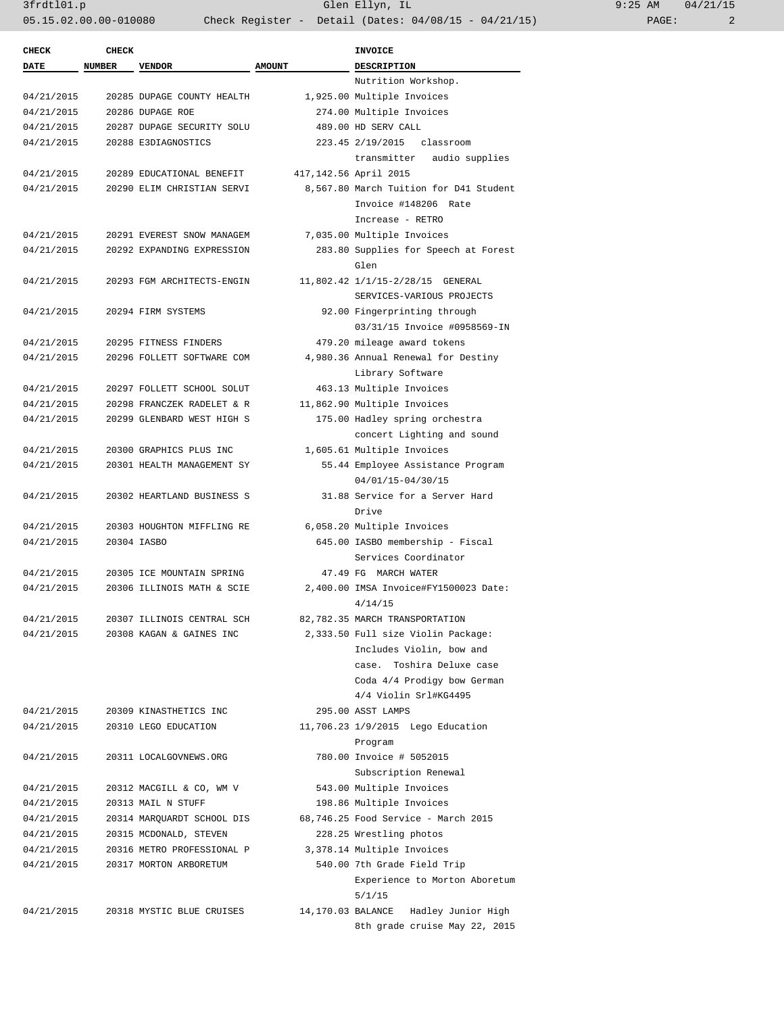| <b>CHECK</b> | <b>CHECK</b>  |                            |               | <b>INVOICE</b>                          |
|--------------|---------------|----------------------------|---------------|-----------------------------------------|
| <b>DATE</b>  | <b>NUMBER</b> | <b>VENDOR</b>              | <b>AMOUNT</b> | <b>DESCRIPTION</b>                      |
|              |               |                            |               | Nutrition Workshop.                     |
| 04/21/2015   |               | 20285 DUPAGE COUNTY HEALTH |               | 1,925.00 Multiple Invoices              |
| 04/21/2015   |               | 20286 DUPAGE ROE           |               | 274.00 Multiple Invoices                |
| 04/21/2015   |               | 20287 DUPAGE SECURITY SOLU |               | 489.00 HD SERV CALL                     |
| 04/21/2015   |               | 20288 E3DIAGNOSTICS        |               | 223.45 2/19/2015<br>classroom           |
|              |               |                            |               | transmitter<br>audio supplies           |
| 04/21/2015   |               | 20289 EDUCATIONAL BENEFIT  |               | 417,142.56 April 2015                   |
| 04/21/2015   |               | 20290 ELIM CHRISTIAN SERVI |               | 8,567.80 March Tuition for D41 Student  |
|              |               |                            |               | Invoice #148206 Rate                    |
|              |               |                            |               | Increase - RETRO                        |
| 04/21/2015   |               | 20291 EVEREST SNOW MANAGEM |               | 7,035.00 Multiple Invoices              |
| 04/21/2015   |               | 20292 EXPANDING EXPRESSION |               | 283.80 Supplies for Speech at Forest    |
|              |               |                            |               | Glen                                    |
| 04/21/2015   |               | 20293 FGM ARCHITECTS-ENGIN |               | 11,802.42 1/1/15-2/28/15 GENERAL        |
|              |               |                            |               | SERVICES-VARIOUS PROJECTS               |
| 04/21/2015   |               | 20294 FIRM SYSTEMS         |               | 92.00 Fingerprinting through            |
|              |               |                            |               | 03/31/15 Invoice #0958569-IN            |
| 04/21/2015   |               | 20295 FITNESS FINDERS      |               | 479.20 mileage award tokens             |
| 04/21/2015   |               | 20296 FOLLETT SOFTWARE COM |               | 4,980.36 Annual Renewal for Destiny     |
|              |               |                            |               | Library Software                        |
| 04/21/2015   |               | 20297 FOLLETT SCHOOL SOLUT |               | 463.13 Multiple Invoices                |
| 04/21/2015   |               | 20298 FRANCZEK RADELET & R |               | 11,862.90 Multiple Invoices             |
| 04/21/2015   |               | 20299 GLENBARD WEST HIGH S |               | 175.00 Hadley spring orchestra          |
|              |               |                            |               | concert Lighting and sound              |
| 04/21/2015   |               | 20300 GRAPHICS PLUS INC    |               | 1,605.61 Multiple Invoices              |
| 04/21/2015   |               | 20301 HEALTH MANAGEMENT SY |               | 55.44 Employee Assistance Program       |
|              |               |                            |               | 04/01/15-04/30/15                       |
| 04/21/2015   |               | 20302 HEARTLAND BUSINESS S |               | 31.88 Service for a Server Hard         |
|              |               |                            |               | Drive                                   |
| 04/21/2015   |               | 20303 HOUGHTON MIFFLING RE |               | 6,058.20 Multiple Invoices              |
| 04/21/2015   |               | 20304 IASBO                |               | 645.00 IASBO membership - Fiscal        |
|              |               |                            |               | Services Coordinator                    |
| 04/21/2015   |               | 20305 ICE MOUNTAIN SPRING  |               | 47.49 FG MARCH WATER                    |
| 04/21/2015   |               | 20306 ILLINOIS MATH & SCIE |               | 2,400.00 IMSA Invoice#FY1500023 Date:   |
|              |               |                            |               | 4/14/15                                 |
| 04/21/2015   |               | 20307 ILLINOIS CENTRAL SCH |               | 82,782.35 MARCH TRANSPORTATION          |
| 04/21/2015   |               | 20308 KAGAN & GAINES INC   |               | 2,333.50 Full size Violin Package:      |
|              |               |                            |               | Includes Violin, bow and                |
|              |               |                            |               | case. Toshira Deluxe case               |
|              |               |                            |               | Coda 4/4 Prodigy bow German             |
|              |               |                            |               | 4/4 Violin Srl#KG4495                   |
| 04/21/2015   |               | 20309 KINASTHETICS INC     |               | 295.00 ASST LAMPS                       |
| 04/21/2015   |               | 20310 LEGO EDUCATION       |               | 11,706.23 1/9/2015 Lego Education       |
|              |               |                            |               | Program                                 |
| 04/21/2015   |               | 20311 LOCALGOVNEWS.ORG     |               | 780.00 Invoice # 5052015                |
|              |               |                            |               | Subscription Renewal                    |
| 04/21/2015   |               | 20312 MACGILL & CO, WM V   |               | 543.00 Multiple Invoices                |
| 04/21/2015   |               | 20313 MAIL N STUFF         |               | 198.86 Multiple Invoices                |
| 04/21/2015   |               | 20314 MARQUARDT SCHOOL DIS |               | 68,746.25 Food Service - March 2015     |
| 04/21/2015   |               | 20315 MCDONALD, STEVEN     |               | 228.25 Wrestling photos                 |
| 04/21/2015   |               | 20316 METRO PROFESSIONAL P |               | 3,378.14 Multiple Invoices              |
| 04/21/2015   |               | 20317 MORTON ARBORETUM     |               | 540.00 7th Grade Field Trip             |
|              |               |                            |               | Experience to Morton Aboretum           |
|              |               |                            |               | 5/1/15                                  |
| 04/21/2015   |               | 20318 MYSTIC BLUE CRUISES  |               | 14,170.03 BALANCE<br>Hadley Junior High |
|              |               |                            |               | 8th grade cruise May 22, 2015           |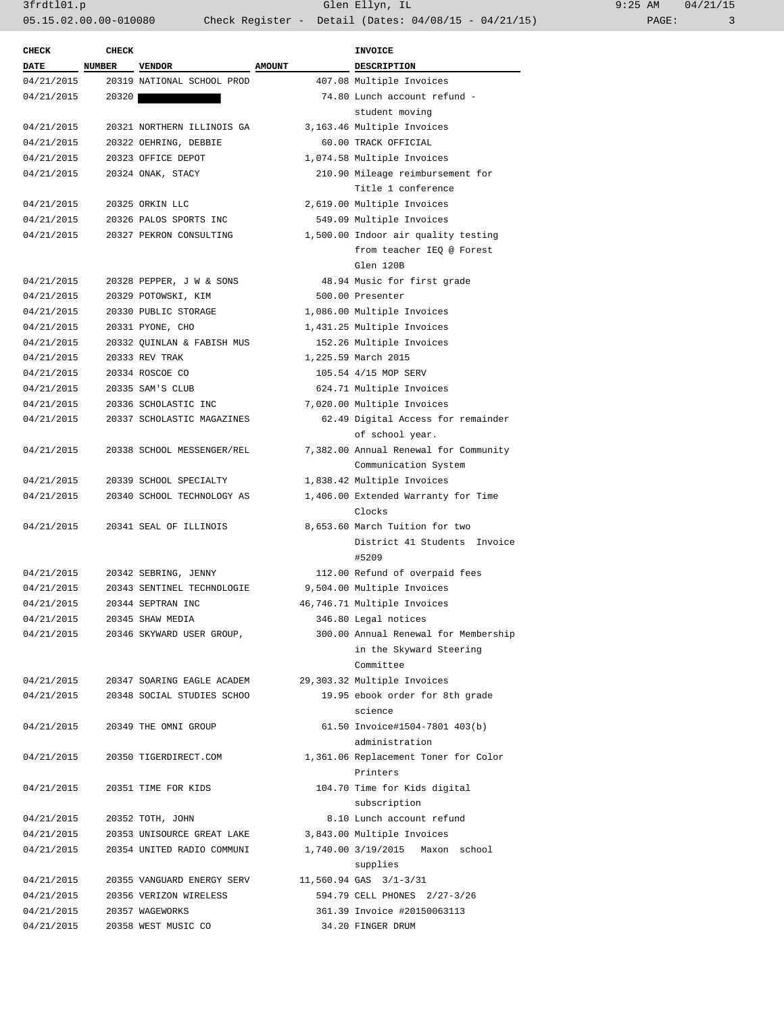| <b>CHECK</b> | <b>CHECK</b> |                            |               | <b>INVOICE</b>                                                 |
|--------------|--------------|----------------------------|---------------|----------------------------------------------------------------|
| <b>DATE</b>  | NUMBER       | <b>VENDOR</b>              | <b>AMOUNT</b> | <b>DESCRIPTION</b>                                             |
| 04/21/2015   |              | 20319 NATIONAL SCHOOL PROD |               | 407.08 Multiple Invoices                                       |
| 04/21/2015   | 20320        |                            |               | 74.80 Lunch account refund -                                   |
|              |              |                            |               | student moving                                                 |
| 04/21/2015   |              | 20321 NORTHERN ILLINOIS GA |               | 3,163.46 Multiple Invoices                                     |
| 04/21/2015   |              | 20322 OEHRING, DEBBIE      |               | 60.00 TRACK OFFICIAL                                           |
| 04/21/2015   |              | 20323 OFFICE DEPOT         |               | 1,074.58 Multiple Invoices                                     |
| 04/21/2015   |              | 20324 ONAK, STACY          |               | 210.90 Mileage reimbursement for                               |
|              |              |                            |               | Title 1 conference                                             |
| 04/21/2015   |              | 20325 ORKIN LLC            |               | 2,619.00 Multiple Invoices                                     |
| 04/21/2015   |              | 20326 PALOS SPORTS INC     |               | 549.09 Multiple Invoices                                       |
| 04/21/2015   |              | 20327 PEKRON CONSULTING    |               | 1,500.00 Indoor air quality testing                            |
|              |              |                            |               | from teacher IEQ @ Forest                                      |
|              |              |                            |               | Glen 120B                                                      |
| 04/21/2015   |              | 20328 PEPPER, J W & SONS   |               | 48.94 Music for first grade                                    |
| 04/21/2015   |              | 20329 POTOWSKI, KIM        |               | 500.00 Presenter                                               |
| 04/21/2015   |              | 20330 PUBLIC STORAGE       |               | 1,086.00 Multiple Invoices                                     |
| 04/21/2015   |              | 20331 PYONE, CHO           |               | 1,431.25 Multiple Invoices                                     |
| 04/21/2015   |              | 20332 QUINLAN & FABISH MUS |               | 152.26 Multiple Invoices                                       |
| 04/21/2015   |              | 20333 REV TRAK             |               | 1,225.59 March 2015                                            |
| 04/21/2015   |              | 20334 ROSCOE CO            |               | 105.54 4/15 MOP SERV                                           |
| 04/21/2015   |              | 20335 SAM'S CLUB           |               | 624.71 Multiple Invoices                                       |
| 04/21/2015   |              | 20336 SCHOLASTIC INC       |               | 7,020.00 Multiple Invoices                                     |
| 04/21/2015   |              | 20337 SCHOLASTIC MAGAZINES |               | 62.49 Digital Access for remainder                             |
|              |              |                            |               | of school year.                                                |
| 04/21/2015   |              | 20338 SCHOOL MESSENGER/REL |               | 7,382.00 Annual Renewal for Community                          |
|              |              |                            |               | Communication System                                           |
| 04/21/2015   |              | 20339 SCHOOL SPECIALTY     |               | 1,838.42 Multiple Invoices                                     |
| 04/21/2015   |              | 20340 SCHOOL TECHNOLOGY AS |               |                                                                |
|              |              |                            |               | 1,406.00 Extended Warranty for Time<br>Clocks                  |
| 04/21/2015   |              | 20341 SEAL OF ILLINOIS     |               |                                                                |
|              |              |                            |               | 8,653.60 March Tuition for two<br>District 41 Students Invoice |
|              |              |                            |               | #5209                                                          |
| 04/21/2015   |              |                            |               |                                                                |
|              |              | 20342 SEBRING, JENNY       |               | 112.00 Refund of overpaid fees                                 |
| 04/21/2015   |              | 20343 SENTINEL TECHNOLOGIE |               | 9,504.00 Multiple Invoices                                     |
| 04/21/2015   |              | 20344 SEPTRAN INC          |               | 46,746.71 Multiple Invoices                                    |
| 04/21/2015   |              | 20345 SHAW MEDIA           |               | 346.80 Legal notices                                           |
| 04/21/2015   |              | 20346 SKYWARD USER GROUP,  |               | 300.00 Annual Renewal for Membership                           |
|              |              |                            |               | in the Skyward Steering                                        |
|              |              |                            |               | Committee                                                      |
| 04/21/2015   |              | 20347 SOARING EAGLE ACADEM |               | 29,303.32 Multiple Invoices                                    |
| 04/21/2015   |              | 20348 SOCIAL STUDIES SCHOO |               | 19.95 ebook order for 8th grade                                |
|              |              |                            |               | science                                                        |
| 04/21/2015   |              | 20349 THE OMNI GROUP       |               | 61.50 Invoice#1504-7801 403(b)                                 |
|              |              |                            |               | administration                                                 |
| 04/21/2015   |              | 20350 TIGERDIRECT.COM      |               | 1,361.06 Replacement Toner for Color                           |
|              |              |                            |               | Printers                                                       |
| 04/21/2015   |              | 20351 TIME FOR KIDS        |               | 104.70 Time for Kids digital                                   |
|              |              |                            |               | subscription                                                   |
| 04/21/2015   |              | 20352 TOTH, JOHN           |               | 8.10 Lunch account refund                                      |
| 04/21/2015   |              | 20353 UNISOURCE GREAT LAKE |               | 3,843.00 Multiple Invoices                                     |
| 04/21/2015   |              | 20354 UNITED RADIO COMMUNI |               | 1,740.00 3/19/2015 Maxon school                                |
|              |              |                            |               | supplies                                                       |
| 04/21/2015   |              | 20355 VANGUARD ENERGY SERV |               | 11,560.94 GAS 3/1-3/31                                         |
|              |              |                            |               |                                                                |
| 04/21/2015   |              | 20356 VERIZON WIRELESS     |               | 594.79 CELL PHONES 2/27-3/26                                   |
| 04/21/2015   |              | 20357 WAGEWORKS            |               | 361.39 Invoice #20150063113                                    |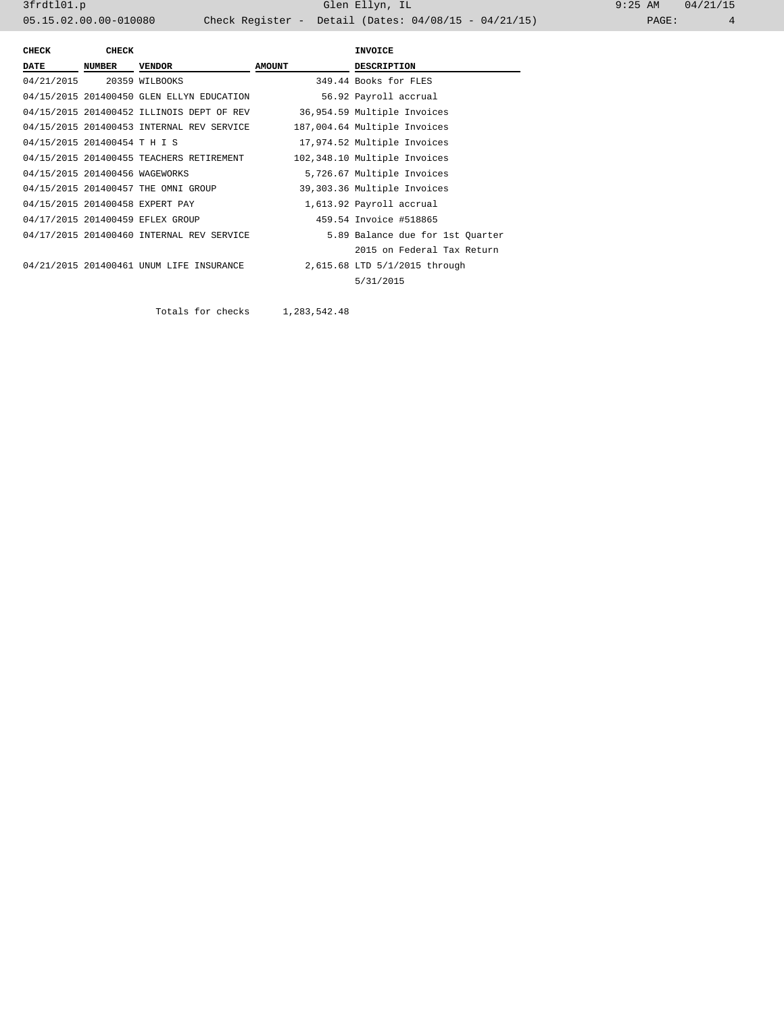| CHECK                          | <b>CHECK</b>  |                                           |               | <b>INVOICE</b>                   |
|--------------------------------|---------------|-------------------------------------------|---------------|----------------------------------|
| <b>DATE</b>                    | <b>NUMBER</b> | <b>VENDOR</b>                             | <b>AMOUNT</b> | <b>DESCRIPTION</b>               |
| 04/21/2015 20359 WILBOOKS      |               |                                           |               | 349.44 Books for FLES            |
|                                |               | 04/15/2015 201400450 GLEN ELLYN EDUCATION |               | 56.92 Payroll accrual            |
|                                |               | 04/15/2015 201400452 ILLINOIS DEPT OF REV |               | 36,954.59 Multiple Invoices      |
|                                |               | 04/15/2015 201400453 INTERNAL REV SERVICE |               | 187,004.64 Multiple Invoices     |
| 04/15/2015 201400454 T H I S   |               |                                           |               | 17,974.52 Multiple Invoices      |
|                                |               | 04/15/2015 201400455 TEACHERS RETIREMENT  |               | 102,348.10 Multiple Invoices     |
| 04/15/2015 201400456 WAGEWORKS |               |                                           |               | 5,726.67 Multiple Invoices       |
|                                |               | 04/15/2015 201400457 THE OMNI GROUP       |               | 39,303.36 Multiple Invoices      |
|                                |               | 04/15/2015 201400458 EXPERT PAY           |               | 1,613.92 Payroll accrual         |
|                                |               | 04/17/2015 201400459 EFLEX GROUP          |               | 459.54 Invoice #518865           |
|                                |               | 04/17/2015 201400460 INTERNAL REV SERVICE |               | 5.89 Balance due for 1st Quarter |
|                                |               |                                           |               | 2015 on Federal Tax Return       |
|                                |               | 04/21/2015 201400461 UNUM LIFE INSURANCE  |               | 2,615.68 LTD 5/1/2015 through    |
|                                |               |                                           |               | 5/31/2015                        |
|                                |               |                                           |               |                                  |

Totals for checks 1,283,542.48